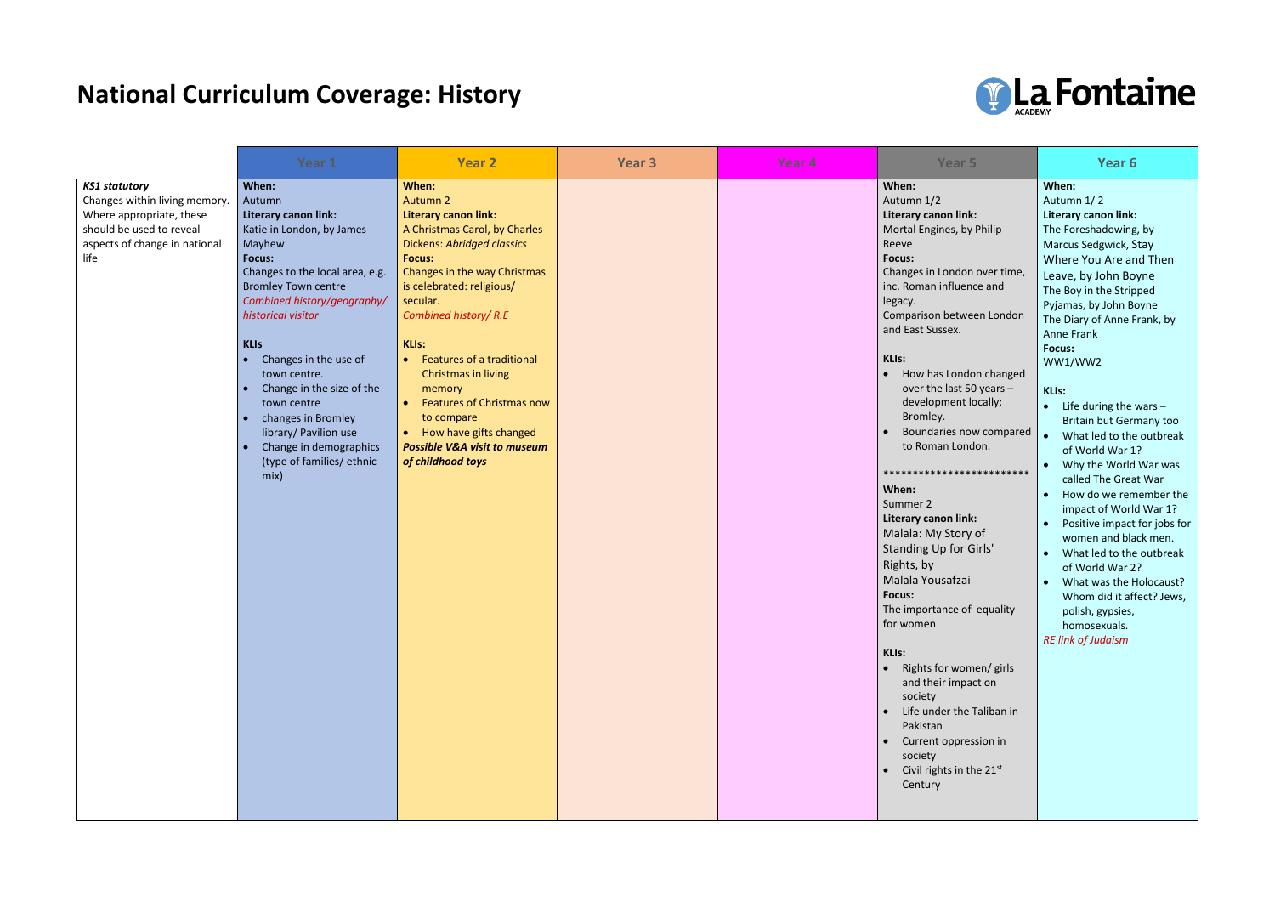## **National Curriculum Coverage: History**

|                                                                                                                                                        | Year 1                                                                                                                                                                                                                                                                                                                                                                                                                           | <b>Year 2</b>                                                                                                                                                                                                                                                                                                                                                                                                                                                                   | Year <sub>3</sub> | Year <sub>4</sub> | Year <sub>5</sub>                                                                                                                                                                                                                                                                                                                                                                                                                                                                                                                                                                                                                                                                                                                                                                                             | Year 6                                                                                                                                                                                                                                                                                                                                                                                                                                                                                                                                                                                                                                                                                                                                                 |
|--------------------------------------------------------------------------------------------------------------------------------------------------------|----------------------------------------------------------------------------------------------------------------------------------------------------------------------------------------------------------------------------------------------------------------------------------------------------------------------------------------------------------------------------------------------------------------------------------|---------------------------------------------------------------------------------------------------------------------------------------------------------------------------------------------------------------------------------------------------------------------------------------------------------------------------------------------------------------------------------------------------------------------------------------------------------------------------------|-------------------|-------------------|---------------------------------------------------------------------------------------------------------------------------------------------------------------------------------------------------------------------------------------------------------------------------------------------------------------------------------------------------------------------------------------------------------------------------------------------------------------------------------------------------------------------------------------------------------------------------------------------------------------------------------------------------------------------------------------------------------------------------------------------------------------------------------------------------------------|--------------------------------------------------------------------------------------------------------------------------------------------------------------------------------------------------------------------------------------------------------------------------------------------------------------------------------------------------------------------------------------------------------------------------------------------------------------------------------------------------------------------------------------------------------------------------------------------------------------------------------------------------------------------------------------------------------------------------------------------------------|
| <b>KS1 statutory</b><br>Changes within living memory.<br>Where appropriate, these<br>should be used to reveal<br>aspects of change in national<br>life | When:<br>Autumn<br>Literary canon link:<br>Katie in London, by James<br>Mayhew<br>Focus:<br>Changes to the local area, e.g.<br><b>Bromley Town centre</b><br>Combined history/geography/<br>historical visitor<br><b>KLIs</b><br>Changes in the use of<br>town centre.<br>Change in the size of the<br>town centre<br>changes in Bromley<br>library/ Pavilion use<br>Change in demographics<br>(type of families/ ethnic<br>mix) | When:<br><b>Autumn 2</b><br>Literary canon link:<br>A Christmas Carol, by Charles<br><b>Dickens: Abridged classics</b><br><b>Focus:</b><br>Changes in the way Christmas<br>is celebrated: religious/<br>secular.<br>Combined history/R.E<br><b>KLIs:</b><br>Features of a traditional<br>Christmas in living<br>memory<br><b>Features of Christmas now</b><br>to compare<br>How have gifts changed<br>$\bullet$<br><b>Possible V&amp;A visit to museum</b><br>of childhood toys |                   |                   | When:<br>Autumn 1/2<br>Literary canon link:<br>Mortal Engines, by Philip<br>Reeve<br>Focus:<br>Changes in London over time,<br>inc. Roman influence and<br>legacy.<br>Comparison between London<br>and East Sussex.<br>KLIs:<br>How has London changed<br>over the last 50 years -<br>development locally;<br>Bromley.<br>Boundaries now compared<br>to Roman London.<br>*************************<br>When:<br>Summer 2<br>Literary canon link:<br>Malala: My Story of<br><b>Standing Up for Girls'</b><br>Rights, by<br>Malala Yousafzai<br><b>Focus:</b><br>The importance of equality<br>for women<br><b>KLIs:</b><br>• Rights for women/ girls<br>and their impact on<br>society<br>Life under the Taliban in<br>Pakistan<br>Current oppression in<br>society<br>Civil rights in the $21^{st}$<br>Century | When:<br>Autumn 1/2<br>Literary canon link:<br>The Foreshadowing, by<br>Marcus Sedgwick, Stay<br>Where You Are and Then<br>Leave, by John Boyne<br>The Boy in the Stripped<br>Pyjamas, by John Boyne<br>The Diary of Anne Frank, by<br><b>Anne Frank</b><br>Focus:<br>WW1/WW2<br>KLIs:<br>$\bullet$ Life during the wars -<br>Britain but Germany too<br>What led to the outbreak<br>of World War 1?<br>Why the World War was<br>called The Great War<br>How do we remember the<br>impact of World War 1?<br>Positive impact for jobs for<br>women and black men.<br>What led to the outbreak<br>$\bullet$<br>of World War 2?<br>What was the Holocaust?<br>Whom did it affect? Jews,<br>polish, gypsies,<br>homosexuals.<br><b>RE link of Judaism</b> |

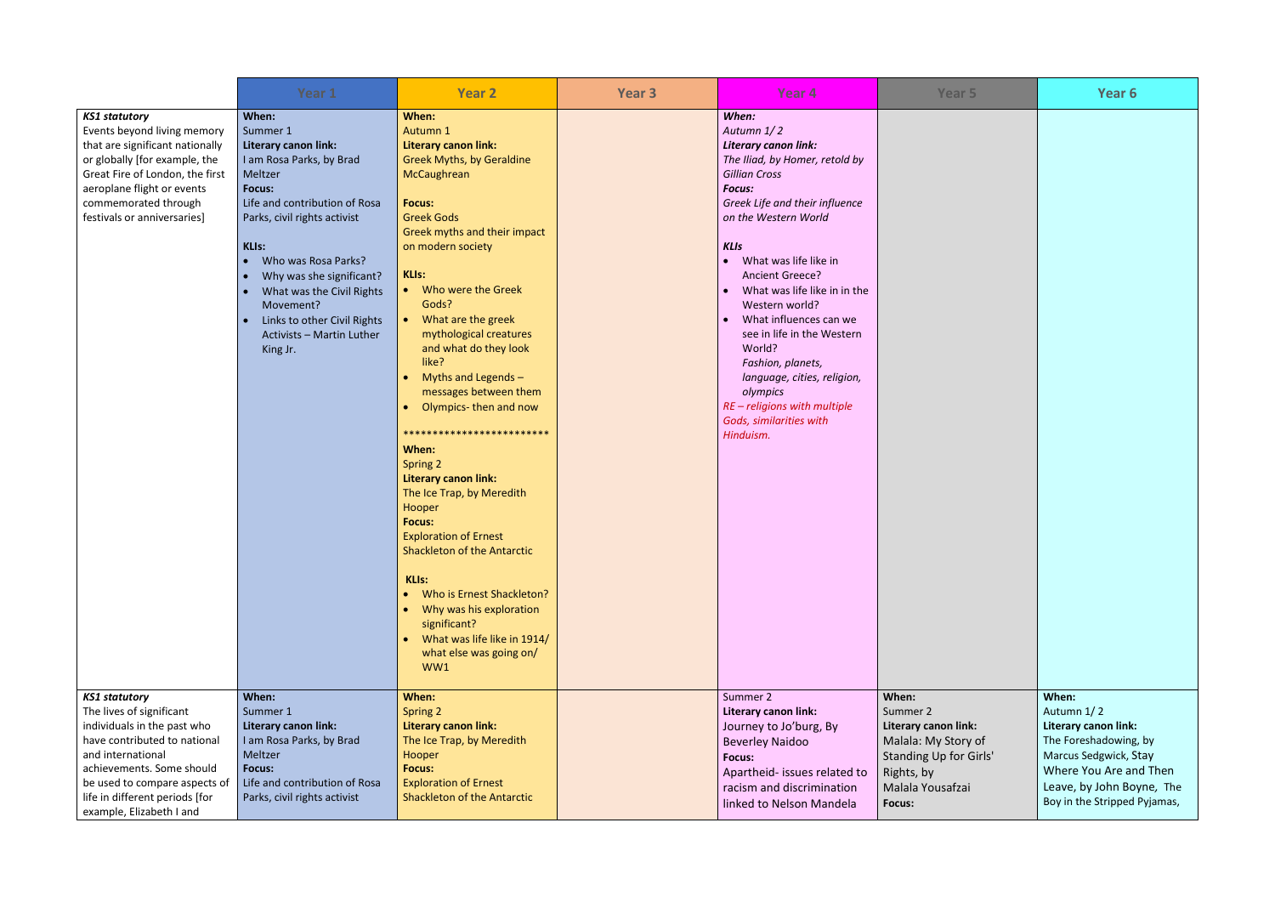|                                                                                                                                                                                                                                                                  | Year 1                                                                                                                                                                                                                                                                                                                                                  | <b>Year 2</b>                                                                                                                                                                                                                                                                                                                                                                                                                                                                                                                                                                                                                                                                                                                                                               | Year <sub>3</sub> | Year <sub>4</sub>                                                                                                                                                                                                                                                                                                                                                                                                                                                                                                            | Year 5                                                                                                                                 | Year 6                                                                                                                                                                                      |
|------------------------------------------------------------------------------------------------------------------------------------------------------------------------------------------------------------------------------------------------------------------|---------------------------------------------------------------------------------------------------------------------------------------------------------------------------------------------------------------------------------------------------------------------------------------------------------------------------------------------------------|-----------------------------------------------------------------------------------------------------------------------------------------------------------------------------------------------------------------------------------------------------------------------------------------------------------------------------------------------------------------------------------------------------------------------------------------------------------------------------------------------------------------------------------------------------------------------------------------------------------------------------------------------------------------------------------------------------------------------------------------------------------------------------|-------------------|------------------------------------------------------------------------------------------------------------------------------------------------------------------------------------------------------------------------------------------------------------------------------------------------------------------------------------------------------------------------------------------------------------------------------------------------------------------------------------------------------------------------------|----------------------------------------------------------------------------------------------------------------------------------------|---------------------------------------------------------------------------------------------------------------------------------------------------------------------------------------------|
| <b>KS1 statutory</b><br>Events beyond living memory<br>that are significant nationally<br>or globally [for example, the<br>Great Fire of London, the first<br>aeroplane flight or events<br>commemorated through<br>festivals or anniversaries]                  | When:<br>Summer 1<br>Literary canon link:<br>I am Rosa Parks, by Brad<br>Meltzer<br><b>Focus:</b><br>Life and contribution of Rosa<br>Parks, civil rights activist<br><b>KLIs:</b><br>Who was Rosa Parks?<br>Why was she significant?<br>What was the Civil Rights<br>Movement?<br>Links to other Civil Rights<br>Activists - Martin Luther<br>King Jr. | When:<br>Autumn 1<br>Literary canon link:<br><b>Greek Myths, by Geraldine</b><br>McCaughrean<br><b>Focus:</b><br><b>Greek Gods</b><br>Greek myths and their impact<br>on modern society<br><b>KLIs:</b><br>• Who were the Greek<br>Gods?<br>What are the greek<br>mythological creatures<br>and what do they look<br>like?<br>Myths and Legends -<br>messages between them<br>Olympics-then and now<br>*************************<br>When:<br>Spring 2<br><b>Literary canon link:</b><br>The Ice Trap, by Meredith<br>Hooper<br><b>Focus:</b><br><b>Exploration of Ernest</b><br><b>Shackleton of the Antarctic</b><br><b>KLIs:</b><br>Who is Ernest Shackleton?<br>Why was his exploration<br>significant?<br>What was life like in 1914/<br>what else was going on/<br>WW1 |                   | When:<br>Autumn 1/2<br>Literary canon link:<br>The Iliad, by Homer, retold by<br><b>Gillian Cross</b><br>Focus:<br>Greek Life and their influence<br>on the Western World<br><b>KLIs</b><br>• What was life like in<br>Ancient Greece?<br>What was life like in in the<br>$\bullet$<br>Western world?<br>What influences can we<br>$\bullet$<br>see in life in the Western<br>World?<br>Fashion, planets,<br>language, cities, religion,<br>olympics<br>RE - religions with multiple<br>Gods, similarities with<br>Hinduism. |                                                                                                                                        |                                                                                                                                                                                             |
| <b>KS1 statutory</b><br>The lives of significant<br>individuals in the past who<br>have contributed to national<br>and international<br>achievements. Some should<br>be used to compare aspects of<br>life in different periods [for<br>example, Elizabeth I and | When:<br>Summer 1<br><b>Literary canon link:</b><br>I am Rosa Parks, by Brad<br>Meltzer<br><b>Focus:</b><br>Life and contribution of Rosa<br>Parks, civil rights activist                                                                                                                                                                               | When:<br>Spring 2<br><b>Literary canon link:</b><br>The Ice Trap, by Meredith<br>Hooper<br><b>Focus:</b><br><b>Exploration of Ernest</b><br><b>Shackleton of the Antarctic</b>                                                                                                                                                                                                                                                                                                                                                                                                                                                                                                                                                                                              |                   | Summer 2<br>Literary canon link:<br>Journey to Jo'burg, By<br><b>Beverley Naidoo</b><br><b>Focus:</b><br>Apartheid- issues related to<br>racism and discrimination<br>linked to Nelson Mandela                                                                                                                                                                                                                                                                                                                               | When:<br>Summer 2<br>Literary canon link:<br>Malala: My Story of<br>Standing Up for Girls'<br>Rights, by<br>Malala Yousafzai<br>Focus: | When:<br>Autumn 1/2<br><b>Literary canon link:</b><br>The Foreshadowing, by<br>Marcus Sedgwick, Stay<br>Where You Are and Then<br>Leave, by John Boyne, The<br>Boy in the Stripped Pyjamas, |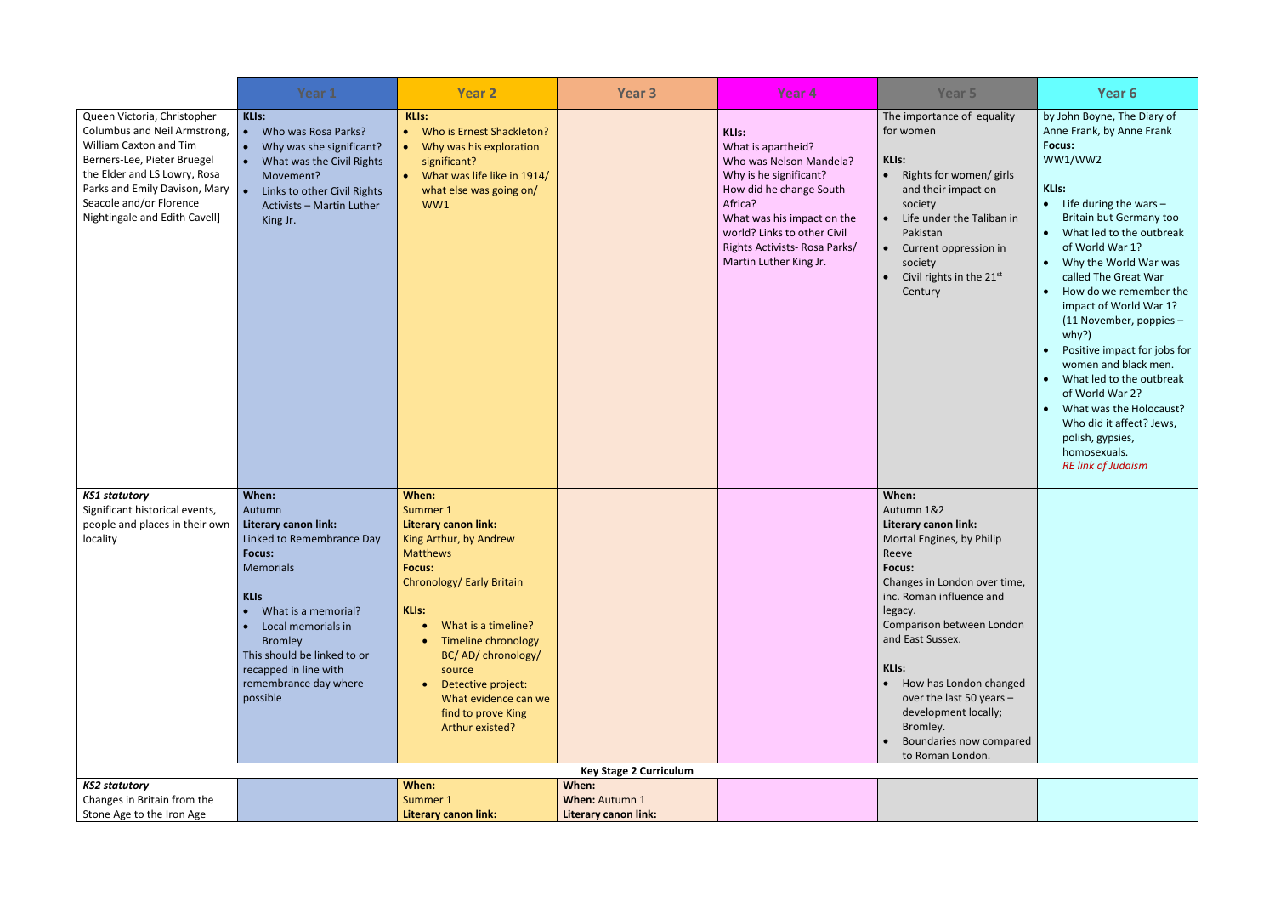|                                                                                                                                                                                                                                                   | Year 1                                                                                                                                                                                                                                                                               | <b>Year 2</b>                                                                                                                                                                                                                                                                                                                                      | Year <sub>3</sub>                               | Year <sub>4</sub>                                                                                                                                                                                                                                    | Year <sub>5</sub>                                                                                                                                                                                                                                                                                                                                                     | Year 6                                                                                                                                                                                                                                                                                                                                                                                                                                                                                                                                                                                                             |  |  |  |
|---------------------------------------------------------------------------------------------------------------------------------------------------------------------------------------------------------------------------------------------------|--------------------------------------------------------------------------------------------------------------------------------------------------------------------------------------------------------------------------------------------------------------------------------------|----------------------------------------------------------------------------------------------------------------------------------------------------------------------------------------------------------------------------------------------------------------------------------------------------------------------------------------------------|-------------------------------------------------|------------------------------------------------------------------------------------------------------------------------------------------------------------------------------------------------------------------------------------------------------|-----------------------------------------------------------------------------------------------------------------------------------------------------------------------------------------------------------------------------------------------------------------------------------------------------------------------------------------------------------------------|--------------------------------------------------------------------------------------------------------------------------------------------------------------------------------------------------------------------------------------------------------------------------------------------------------------------------------------------------------------------------------------------------------------------------------------------------------------------------------------------------------------------------------------------------------------------------------------------------------------------|--|--|--|
| Queen Victoria, Christopher<br>Columbus and Neil Armstrong,<br>William Caxton and Tim<br>Berners-Lee, Pieter Bruegel<br>the Elder and LS Lowry, Rosa<br>Parks and Emily Davison, Mary<br>Seacole and/or Florence<br>Nightingale and Edith Cavell] | <b>KLIs:</b><br>Who was Rosa Parks?<br>$\bullet$<br>Why was she significant?<br>$\bullet$<br>What was the Civil Rights<br>Movement?<br>Links to other Civil Rights<br>Activists - Martin Luther<br>King Jr.                                                                          | <b>KLIs:</b><br>Who is Ernest Shackleton?<br>$\bullet$<br>Why was his exploration<br>$\bullet$<br>significant?<br>What was life like in 1914/<br><b>IC</b><br>what else was going on/<br>WW1                                                                                                                                                       |                                                 | <b>KLIs:</b><br>What is apartheid?<br>Who was Nelson Mandela?<br>Why is he significant?<br>How did he change South<br>Africa?<br>What was his impact on the<br>world? Links to other Civil<br>Rights Activists-Rosa Parks/<br>Martin Luther King Jr. | The importance of equality<br>for women<br><b>KLIs:</b><br>• Rights for women/ girls<br>and their impact on<br>society<br>Life under the Taliban in<br>Pakistan<br>Current oppression in<br>society<br>Civil rights in the 21st<br>Century                                                                                                                            | by John Boyne, The Diary of<br>Anne Frank, by Anne Frank<br>Focus:<br>WW1/WW2<br><b>KLIs:</b><br>Life during the wars $-$<br>$\bullet$<br>Britain but Germany too<br>What led to the outbreak<br>of World War 1?<br>Why the World War was<br>$\bullet$<br>called The Great War<br>How do we remember the<br>$\bullet$<br>impact of World War 1?<br>(11 November, poppies -<br>why?)<br>Positive impact for jobs for<br>women and black men.<br>What led to the outbreak<br>of World War 2?<br>What was the Holocaust?<br>Who did it affect? Jews,<br>polish, gypsies,<br>homosexuals.<br><b>RE link of Judaism</b> |  |  |  |
| <b>KS1 statutory</b><br>Significant historical events,<br>people and places in their own<br>locality                                                                                                                                              | When:<br>Autumn<br><b>Literary canon link:</b><br>Linked to Remembrance Day<br>Focus:<br><b>Memorials</b><br><b>KLIS</b><br>What is a memorial?<br>Local memorials in<br><b>Bromley</b><br>This should be linked to or<br>recapped in line with<br>remembrance day where<br>possible | When:<br>Summer 1<br><b>Literary canon link:</b><br>King Arthur, by Andrew<br>Matthews<br><b>Focus:</b><br>Chronology/ Early Britain<br>KLIs:<br>What is a timeline?<br>$\bullet$<br><b>Timeline chronology</b><br>BC/AD/chronology/<br>source<br>Detective project:<br>$\bullet$<br>What evidence can we<br>find to prove King<br>Arthur existed? |                                                 |                                                                                                                                                                                                                                                      | When:<br>Autumn 1&2<br>Literary canon link:<br>Mortal Engines, by Philip<br>Reeve<br>Focus:<br>Changes in London over time,<br>inc. Roman influence and<br>legacy.<br>Comparison between London<br>and East Sussex.<br>KLIs:<br>How has London changed<br>over the last 50 years -<br>development locally;<br>Bromley.<br>Boundaries now compared<br>to Roman London. |                                                                                                                                                                                                                                                                                                                                                                                                                                                                                                                                                                                                                    |  |  |  |
|                                                                                                                                                                                                                                                   | <b>Key Stage 2 Curriculum</b>                                                                                                                                                                                                                                                        |                                                                                                                                                                                                                                                                                                                                                    |                                                 |                                                                                                                                                                                                                                                      |                                                                                                                                                                                                                                                                                                                                                                       |                                                                                                                                                                                                                                                                                                                                                                                                                                                                                                                                                                                                                    |  |  |  |
| <b>KS2 statutory</b><br>Changes in Britain from the<br>Stone Age to the Iron Age                                                                                                                                                                  |                                                                                                                                                                                                                                                                                      | When:<br>Summer 1<br><b>Literary canon link:</b>                                                                                                                                                                                                                                                                                                   | When:<br>When: Autumn 1<br>Literary canon link: |                                                                                                                                                                                                                                                      |                                                                                                                                                                                                                                                                                                                                                                       |                                                                                                                                                                                                                                                                                                                                                                                                                                                                                                                                                                                                                    |  |  |  |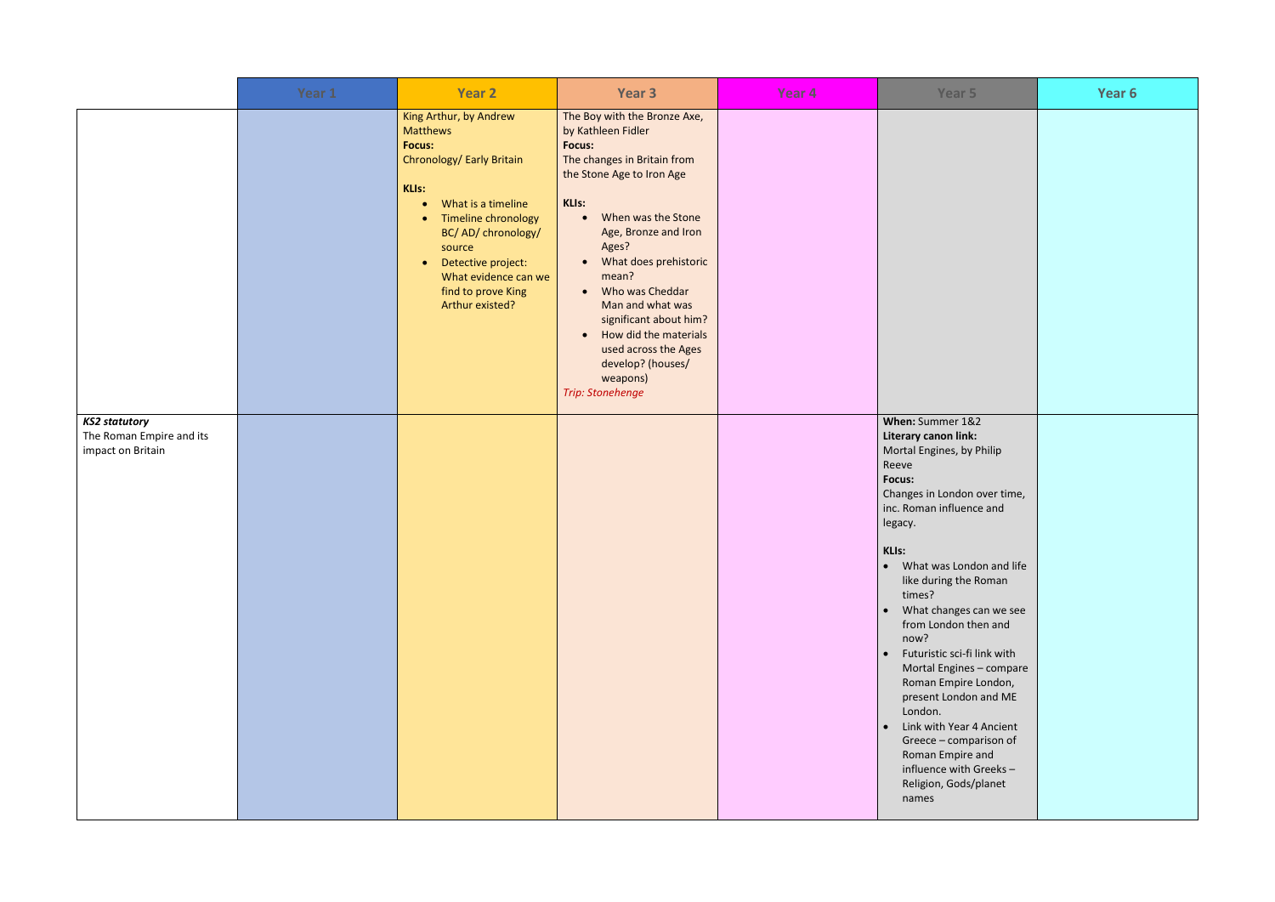|                                                                       | Year 1 | <b>Year 2</b>                                                                                                                                                                                                                                                                                              | Year 3                                                                                                                                                                                                                                                                                                                                                                                                                                    | Year <sub>4</sub> | Year 5                                                                                                                                                                                                                                                                                                                                                                                                                                                                                                                                                                              | Year 6 |
|-----------------------------------------------------------------------|--------|------------------------------------------------------------------------------------------------------------------------------------------------------------------------------------------------------------------------------------------------------------------------------------------------------------|-------------------------------------------------------------------------------------------------------------------------------------------------------------------------------------------------------------------------------------------------------------------------------------------------------------------------------------------------------------------------------------------------------------------------------------------|-------------------|-------------------------------------------------------------------------------------------------------------------------------------------------------------------------------------------------------------------------------------------------------------------------------------------------------------------------------------------------------------------------------------------------------------------------------------------------------------------------------------------------------------------------------------------------------------------------------------|--------|
|                                                                       |        | King Arthur, by Andrew<br><b>Matthews</b><br><b>Focus:</b><br>Chronology/ Early Britain<br>KLIs:<br>What is a timeline<br>$\bullet$<br>Timeline chronology<br>$\bullet$<br>BC/AD/chronology/<br>source<br>Detective project:<br>$\bullet$<br>What evidence can we<br>find to prove King<br>Arthur existed? | The Boy with the Bronze Axe,<br>by Kathleen Fidler<br><b>Focus:</b><br>The changes in Britain from<br>the Stone Age to Iron Age<br>KLIs:<br>When was the Stone<br>Age, Bronze and Iron<br>Ages?<br>What does prehistoric<br>$\bullet$<br>mean?<br>Who was Cheddar<br>$\bullet$<br>Man and what was<br>significant about him?<br>How did the materials<br>used across the Ages<br>develop? (houses/<br>weapons)<br><b>Trip: Stonehenge</b> |                   |                                                                                                                                                                                                                                                                                                                                                                                                                                                                                                                                                                                     |        |
| <b>KS2 statutory</b><br>The Roman Empire and its<br>impact on Britain |        |                                                                                                                                                                                                                                                                                                            |                                                                                                                                                                                                                                                                                                                                                                                                                                           |                   | When: Summer 1&2<br>Literary canon link:<br>Mortal Engines, by Philip<br>Reeve<br><b>Focus:</b><br>Changes in London over time,<br>inc. Roman influence and<br>legacy.<br>KLIs:<br>What was London and life<br>$\bullet$<br>like during the Roman<br>times?<br>What changes can we see<br>from London then and<br>now?<br>Futuristic sci-fi link with<br>Mortal Engines - compare<br>Roman Empire London,<br>present London and ME<br>London.<br>Link with Year 4 Ancient<br>Greece - comparison of<br>Roman Empire and<br>influence with Greeks-<br>Religion, Gods/planet<br>names |        |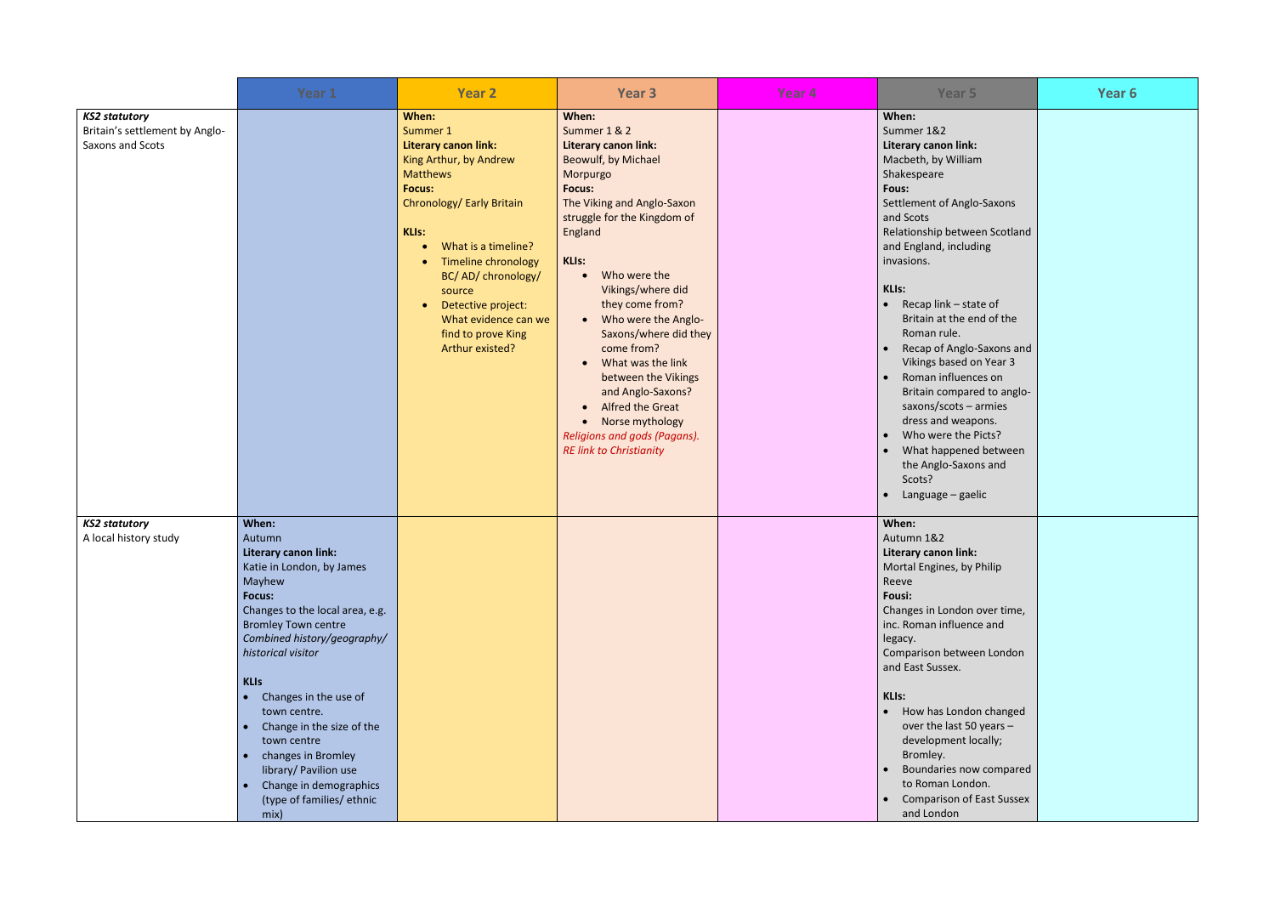|                                                                            | Year 1                                                                                                                                                                                                                                                                                                                                                                                                                                                                                      | <b>Year 2</b>                                                                                                                                                                                                                                                                                                                                             | Year 3                                                                                                                                                                                                                                                                                                                                                                                                                                                                                                                | Year <sub>4</sub> | Year <sub>5</sub>                                                                                                                                                                                                                                                                                                                                                                                                                                                                                                                                                      | Year 6 |
|----------------------------------------------------------------------------|---------------------------------------------------------------------------------------------------------------------------------------------------------------------------------------------------------------------------------------------------------------------------------------------------------------------------------------------------------------------------------------------------------------------------------------------------------------------------------------------|-----------------------------------------------------------------------------------------------------------------------------------------------------------------------------------------------------------------------------------------------------------------------------------------------------------------------------------------------------------|-----------------------------------------------------------------------------------------------------------------------------------------------------------------------------------------------------------------------------------------------------------------------------------------------------------------------------------------------------------------------------------------------------------------------------------------------------------------------------------------------------------------------|-------------------|------------------------------------------------------------------------------------------------------------------------------------------------------------------------------------------------------------------------------------------------------------------------------------------------------------------------------------------------------------------------------------------------------------------------------------------------------------------------------------------------------------------------------------------------------------------------|--------|
| <b>KS2 statutory</b><br>Britain's settlement by Anglo-<br>Saxons and Scots |                                                                                                                                                                                                                                                                                                                                                                                                                                                                                             | When:<br>Summer 1<br>Literary canon link:<br>King Arthur, by Andrew<br><b>Matthews</b><br><b>Focus:</b><br>Chronology/ Early Britain<br><b>KLIs:</b><br>What is a timeline?<br>$\bullet$<br><b>Timeline chronology</b><br>BC/AD/chronology/<br>source<br>Detective project:<br>$\bullet$<br>What evidence can we<br>find to prove King<br>Arthur existed? | When:<br>Summer 1 & 2<br>Literary canon link:<br>Beowulf, by Michael<br>Morpurgo<br><b>Focus:</b><br>The Viking and Anglo-Saxon<br>struggle for the Kingdom of<br>England<br><b>KLIs:</b><br>Who were the<br>Vikings/where did<br>they come from?<br>Who were the Anglo-<br>$\bullet$<br>Saxons/where did they<br>come from?<br>What was the link<br>between the Vikings<br>and Anglo-Saxons?<br>Alfred the Great<br>$\bullet$<br>• Norse mythology<br>Religions and gods (Pagans).<br><b>RE link to Christianity</b> |                   | When:<br>Summer 1&2<br>Literary canon link:<br>Macbeth, by William<br>Shakespeare<br>Fous:<br>Settlement of Anglo-Saxons<br>and Scots<br>Relationship between Scotland<br>and England, including<br>invasions.<br><b>KLIs:</b><br>Recap link - state of<br>Britain at the end of the<br>Roman rule.<br>Recap of Anglo-Saxons and<br>Vikings based on Year 3<br>Roman influences on<br>Britain compared to anglo-<br>saxons/scots - armies<br>dress and weapons.<br>Who were the Picts?<br>What happened between<br>the Anglo-Saxons and<br>Scots?<br>Language - gaelic |        |
| <b>KS2 statutory</b><br>A local history study                              | When:<br>Autumn<br>Literary canon link:<br>Katie in London, by James<br>Mayhew<br><b>Focus:</b><br>Changes to the local area, e.g.<br><b>Bromley Town centre</b><br>Combined history/geography/<br>historical visitor<br><b>KLIs</b><br>Changes in the use of<br>$\bullet$<br>town centre.<br>Change in the size of the<br>$\bullet$<br>town centre<br>changes in Bromley<br>$\bullet$<br>library/ Pavilion use<br>Change in demographics<br>$\bullet$<br>(type of families/ ethnic<br>mix) |                                                                                                                                                                                                                                                                                                                                                           |                                                                                                                                                                                                                                                                                                                                                                                                                                                                                                                       |                   | When:<br>Autumn 1&2<br>Literary canon link:<br>Mortal Engines, by Philip<br>Reeve<br>Fousi:<br>Changes in London over time,<br>inc. Roman influence and<br>legacy.<br>Comparison between London<br>and East Sussex.<br>KLIs:<br>• How has London changed<br>over the last 50 years -<br>development locally;<br>Bromley.<br>Boundaries now compared<br>to Roman London.<br><b>Comparison of East Sussex</b><br>and London                                                                                                                                              |        |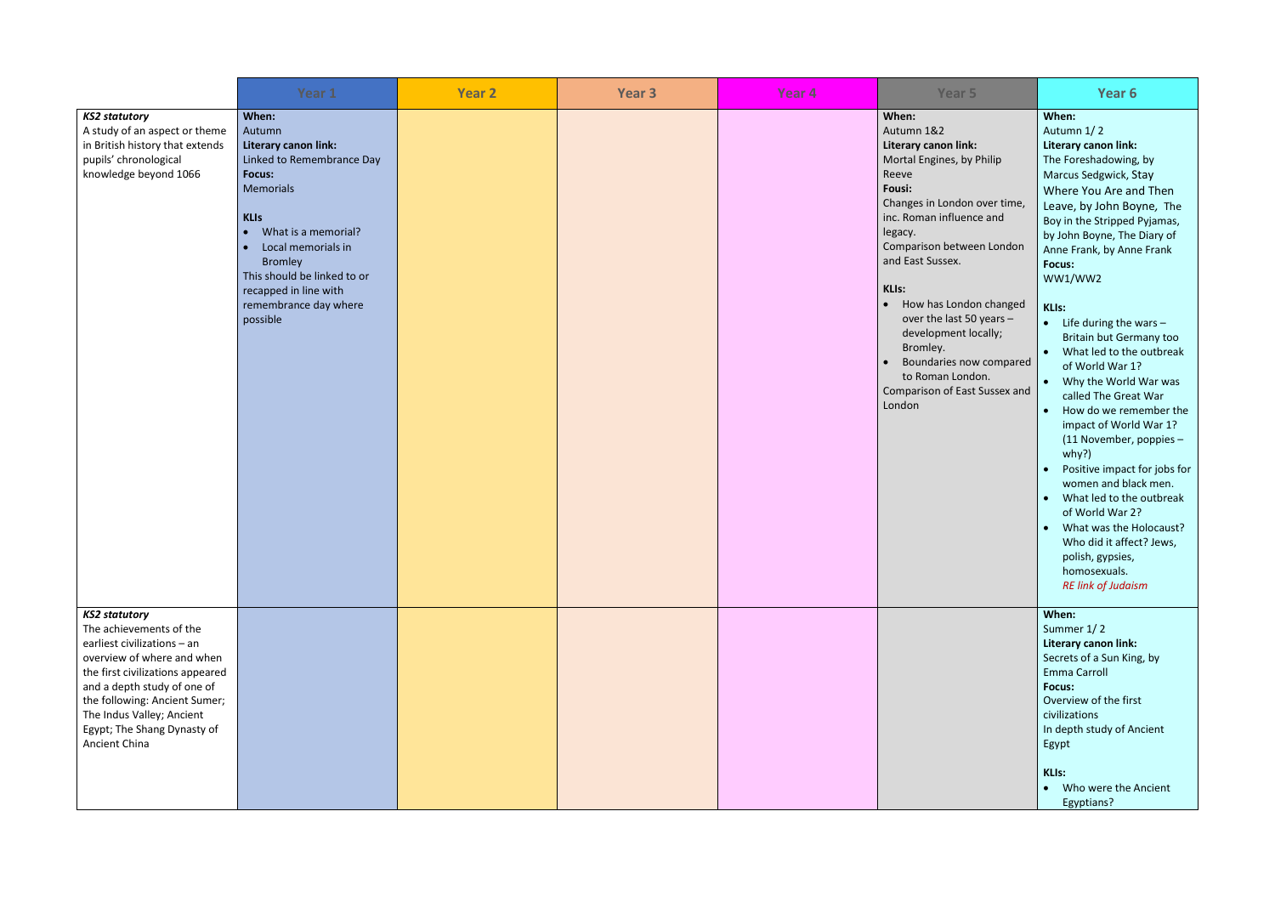|                                                                                                                                                                                                                                                                                               | Year 1                                                                                                                                                                                                                                                                        | <b>Year 2</b> | Year <sub>3</sub> | Year <sub>4</sub> | Year 5                                                                                                                                                                                                                                                                                                                                                                                                                               | Year 6                                                                                                                                                                                                                                                                                                                                                                                                                                                                                                                                                                                                                                                                                                                                                                                                                        |
|-----------------------------------------------------------------------------------------------------------------------------------------------------------------------------------------------------------------------------------------------------------------------------------------------|-------------------------------------------------------------------------------------------------------------------------------------------------------------------------------------------------------------------------------------------------------------------------------|---------------|-------------------|-------------------|--------------------------------------------------------------------------------------------------------------------------------------------------------------------------------------------------------------------------------------------------------------------------------------------------------------------------------------------------------------------------------------------------------------------------------------|-------------------------------------------------------------------------------------------------------------------------------------------------------------------------------------------------------------------------------------------------------------------------------------------------------------------------------------------------------------------------------------------------------------------------------------------------------------------------------------------------------------------------------------------------------------------------------------------------------------------------------------------------------------------------------------------------------------------------------------------------------------------------------------------------------------------------------|
| <b>KS2 statutory</b><br>A study of an aspect or theme<br>in British history that extends<br>pupils' chronological<br>knowledge beyond 1066                                                                                                                                                    | When:<br>Autumn<br>Literary canon link:<br>Linked to Remembrance Day<br><b>Focus:</b><br><b>Memorials</b><br><b>KLIs</b><br>What is a memorial?<br>Local memorials in<br>Bromley<br>This should be linked to or<br>recapped in line with<br>remembrance day where<br>possible |               |                   |                   | When:<br>Autumn 1&2<br>Literary canon link:<br>Mortal Engines, by Philip<br>Reeve<br>Fousi:<br>Changes in London over time,<br>inc. Roman influence and<br>legacy.<br>Comparison between London<br>and East Sussex.<br><b>KLIs:</b><br>How has London changed<br>$\bullet$<br>over the last 50 years -<br>development locally;<br>Bromley.<br>Boundaries now compared<br>to Roman London.<br>Comparison of East Sussex and<br>London | When:<br>Autumn 1/2<br>Literary canon link:<br>The Foreshadowing, by<br>Marcus Sedgwick, Stay<br>Where You Are and Then<br>Leave, by John Boyne, The<br>Boy in the Stripped Pyjamas,<br>by John Boyne, The Diary of<br>Anne Frank, by Anne Frank<br>Focus:<br>WW1/WW2<br><b>KLIs:</b><br>$\bullet$ Life during the wars -<br><b>Britain but Germany too</b><br>• What led to the outbreak<br>of World War 1?<br>• Why the World War was<br>called The Great War<br>How do we remember the<br>$\bullet$<br>impact of World War 1?<br>(11 November, poppies -<br>why?)<br>Positive impact for jobs for<br>women and black men.<br>What led to the outbreak<br>$\bullet$<br>of World War 2?<br>What was the Holocaust?<br>$\bullet$<br>Who did it affect? Jews,<br>polish, gypsies,<br>homosexuals.<br><b>RE link of Judaism</b> |
| <b>KS2 statutory</b><br>The achievements of the<br>earliest civilizations - an<br>overview of where and when<br>the first civilizations appeared<br>and a depth study of one of<br>the following: Ancient Sumer;<br>The Indus Valley; Ancient<br>Egypt; The Shang Dynasty of<br>Ancient China |                                                                                                                                                                                                                                                                               |               |                   |                   |                                                                                                                                                                                                                                                                                                                                                                                                                                      | When:<br>Summer 1/2<br>Literary canon link:<br>Secrets of a Sun King, by<br>Emma Carroll<br>Focus:<br>Overview of the first<br>civilizations<br>In depth study of Ancient<br>Egypt<br><b>KLIs:</b><br>• Who were the Ancient<br>Egyptians?                                                                                                                                                                                                                                                                                                                                                                                                                                                                                                                                                                                    |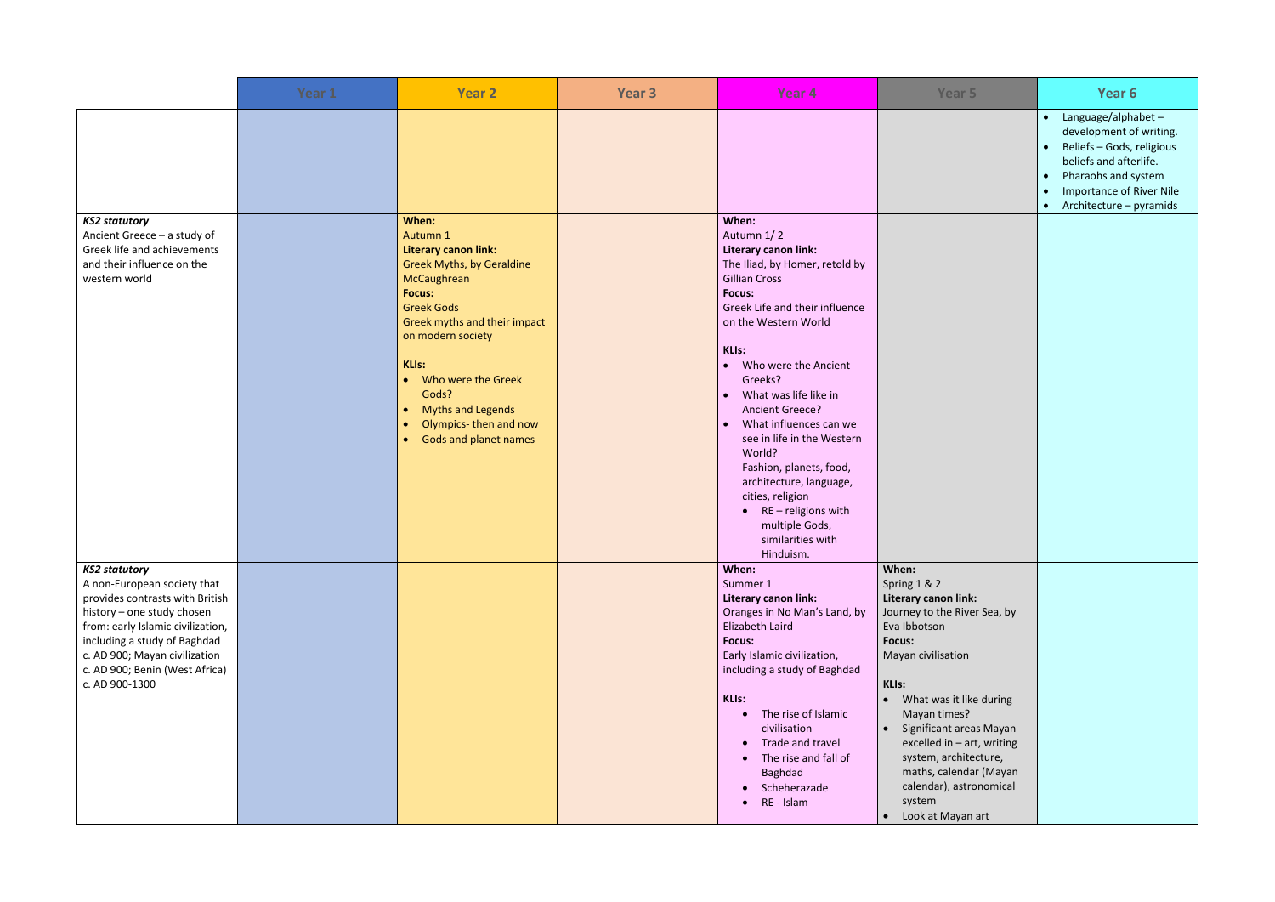|                                                                                                                                                                                                                                                                                | Year 1 | <b>Year 2</b>                                                                                                                                                                                                                                                                                                                      | Year <sub>3</sub> | Year <sub>4</sub>                                                                                                                                                                                                                                                                                                                                                                                                                                                                                                                     | Year 5                                                                                                                                                                                                                                                                                                                                                      | Year 6                                                                                                                                                                                                                                                     |
|--------------------------------------------------------------------------------------------------------------------------------------------------------------------------------------------------------------------------------------------------------------------------------|--------|------------------------------------------------------------------------------------------------------------------------------------------------------------------------------------------------------------------------------------------------------------------------------------------------------------------------------------|-------------------|---------------------------------------------------------------------------------------------------------------------------------------------------------------------------------------------------------------------------------------------------------------------------------------------------------------------------------------------------------------------------------------------------------------------------------------------------------------------------------------------------------------------------------------|-------------------------------------------------------------------------------------------------------------------------------------------------------------------------------------------------------------------------------------------------------------------------------------------------------------------------------------------------------------|------------------------------------------------------------------------------------------------------------------------------------------------------------------------------------------------------------------------------------------------------------|
|                                                                                                                                                                                                                                                                                |        |                                                                                                                                                                                                                                                                                                                                    |                   |                                                                                                                                                                                                                                                                                                                                                                                                                                                                                                                                       |                                                                                                                                                                                                                                                                                                                                                             | Language/alphabet-<br>$\bullet$<br>development of writing.<br>Beliefs - Gods, religious<br>$\bullet$<br>beliefs and afterlife.<br>Pharaohs and system<br>$\bullet$<br><b>Importance of River Nile</b><br>$\bullet$<br>Architecture - pyramids<br>$\bullet$ |
| <b>KS2 statutory</b><br>Ancient Greece - a study of<br>Greek life and achievements<br>and their influence on the<br>western world                                                                                                                                              |        | When:<br>Autumn 1<br><b>Literary canon link:</b><br><b>Greek Myths, by Geraldine</b><br>McCaughrean<br><b>Focus:</b><br><b>Greek Gods</b><br>Greek myths and their impact<br>on modern society<br><b>KLIs:</b><br>Who were the Greek<br>Gods?<br><b>Myths and Legends</b><br>Olympics-then and now<br><b>Gods and planet names</b> |                   | When:<br>Autumn 1/2<br>Literary canon link:<br>The Iliad, by Homer, retold by<br><b>Gillian Cross</b><br><b>Focus:</b><br>Greek Life and their influence<br>on the Western World<br>KLIs:<br>• Who were the Ancient<br>Greeks?<br>What was life like in<br>$\bullet$<br>Ancient Greece?<br>What influences can we<br>$\bullet$<br>see in life in the Western<br>World?<br>Fashion, planets, food,<br>architecture, language,<br>cities, religion<br>$\bullet$ RE - religions with<br>multiple Gods,<br>similarities with<br>Hinduism. |                                                                                                                                                                                                                                                                                                                                                             |                                                                                                                                                                                                                                                            |
| <b>KS2 statutory</b><br>A non-European society that<br>provides contrasts with British<br>history - one study chosen<br>from: early Islamic civilization,<br>including a study of Baghdad<br>c. AD 900; Mayan civilization<br>c. AD 900; Benin (West Africa)<br>c. AD 900-1300 |        |                                                                                                                                                                                                                                                                                                                                    |                   | When:<br>Summer 1<br>Literary canon link:<br>Oranges in No Man's Land, by<br>Elizabeth Laird<br><b>Focus:</b><br>Early Islamic civilization,<br>including a study of Baghdad<br>KLIs:<br>The rise of Islamic<br>$\bullet$<br>civilisation<br>Trade and travel<br>$\bullet$<br>The rise and fall of<br>$\bullet$<br>Baghdad<br>Scheherazade<br>$\bullet$<br>RE - Islam<br>$\bullet$                                                                                                                                                    | When:<br>Spring 1 & 2<br>Literary canon link:<br>Journey to the River Sea, by<br>Eva Ibbotson<br>Focus:<br>Mayan civilisation<br>KLIs:<br>• What was it like during<br>Mayan times?<br>• Significant areas Mayan<br>excelled in - art, writing<br>system, architecture,<br>maths, calendar (Mayan<br>calendar), astronomical<br>system<br>Look at Mayan art |                                                                                                                                                                                                                                                            |